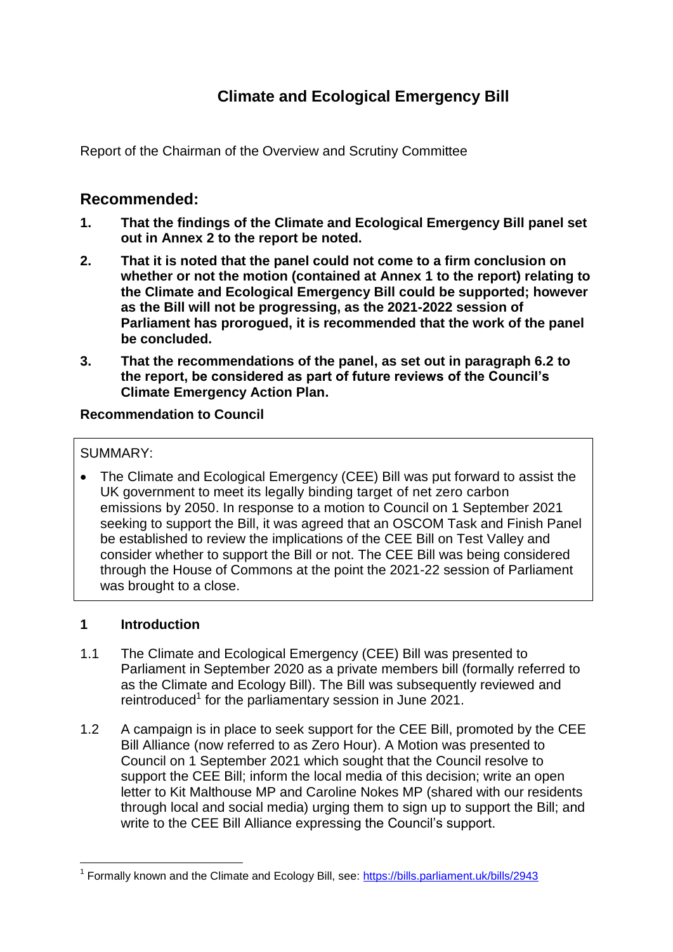# **Climate and Ecological Emergency Bill**

Report of the Chairman of the Overview and Scrutiny Committee

## **Recommended:**

- **1. That the findings of the Climate and Ecological Emergency Bill panel set out in Annex 2 to the report be noted.**
- **2. That it is noted that the panel could not come to a firm conclusion on whether or not the motion (contained at Annex 1 to the report) relating to the Climate and Ecological Emergency Bill could be supported; however as the Bill will not be progressing, as the 2021-2022 session of Parliament has prorogued, it is recommended that the work of the panel be concluded.**
- **3. That the recommendations of the panel, as set out in paragraph 6.2 to the report, be considered as part of future reviews of the Council's Climate Emergency Action Plan.**

#### **Recommendation to Council**

#### SUMMARY:

 The Climate and Ecological Emergency (CEE) Bill was put forward to assist the UK government to meet its legally binding target of net zero carbon emissions by 2050. In response to a motion to Council on 1 September 2021 seeking to support the Bill, it was agreed that an OSCOM Task and Finish Panel be established to review the implications of the CEE Bill on Test Valley and consider whether to support the Bill or not. The CEE Bill was being considered through the House of Commons at the point the 2021-22 session of Parliament was brought to a close.

#### **1 Introduction**

 $\overline{a}$ 

- 1.1 The Climate and Ecological Emergency (CEE) Bill was presented to Parliament in September 2020 as a private members bill (formally referred to as the Climate and Ecology Bill). The Bill was subsequently reviewed and reintroduced<sup>1</sup> for the parliamentary session in June 2021.
- 1.2 A campaign is in place to seek support for the CEE Bill, promoted by the CEE Bill Alliance (now referred to as Zero Hour). A Motion was presented to Council on 1 September 2021 which sought that the Council resolve to support the CEE Bill; inform the local media of this decision; write an open letter to Kit Malthouse MP and Caroline Nokes MP (shared with our residents through local and social media) urging them to sign up to support the Bill; and write to the CEE Bill Alliance expressing the Council's support.

<sup>&</sup>lt;sup>1</sup> Formally known and the Climate and Ecology Bill, see:<https://bills.parliament.uk/bills/2943>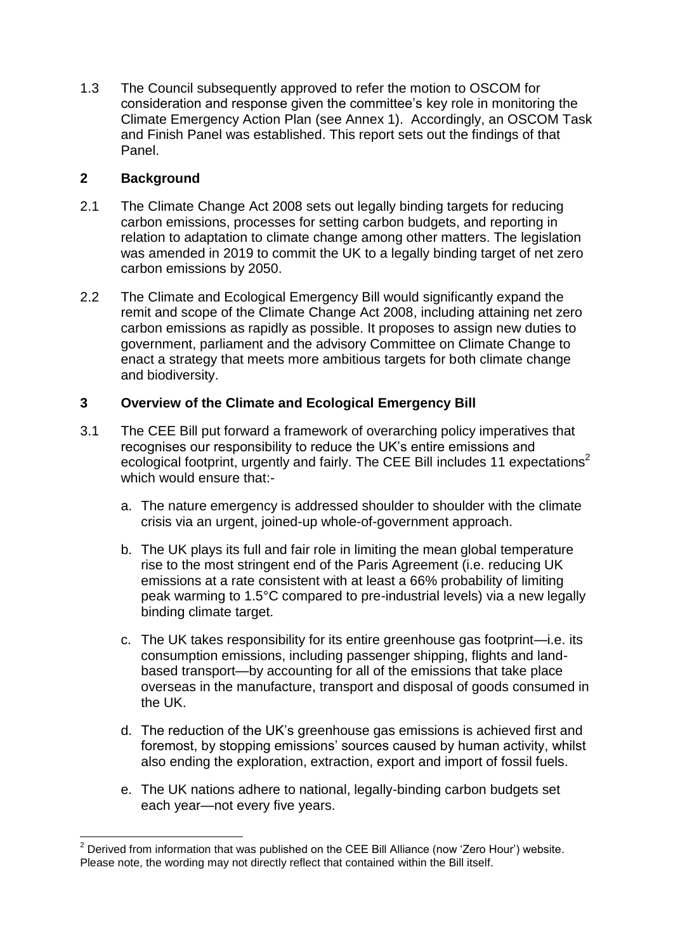1.3 The Council subsequently approved to refer the motion to OSCOM for consideration and response given the committee's key role in monitoring the Climate Emergency Action Plan (see Annex 1). Accordingly, an OSCOM Task and Finish Panel was established. This report sets out the findings of that Panel.

### **2 Background**

- 2.1 The Climate Change Act 2008 sets out legally binding targets for reducing carbon emissions, processes for setting carbon budgets, and reporting in relation to adaptation to climate change among other matters. The legislation was amended in 2019 to commit the UK to a legally binding target of net zero carbon emissions by 2050.
- 2.2 The Climate and Ecological Emergency Bill would significantly expand the remit and scope of the Climate Change Act 2008, including attaining net zero carbon emissions as rapidly as possible. It proposes to assign new duties to government, parliament and the advisory Committee on Climate Change to enact a strategy that meets more ambitious targets for both climate change and biodiversity.

## **3 Overview of the Climate and Ecological Emergency Bill**

- 3.1 The CEE Bill put forward a framework of overarching policy imperatives that recognises our responsibility to reduce the UK's entire emissions and ecological footprint, urgently and fairly. The CEE Bill includes 11 expectations<sup>2</sup> which would ensure that:
	- a. The nature emergency is addressed shoulder to shoulder with the climate crisis via an urgent, joined-up whole-of-government approach.
	- b. The UK plays its full and fair role in limiting the mean global temperature rise to the most stringent end of the Paris Agreement (i.e. reducing UK emissions at a rate consistent with at least a 66% probability of limiting peak warming to 1.5°C compared to pre-industrial levels) via a new legally binding climate target.
	- c. The UK takes responsibility for its entire greenhouse gas footprint—i.e. its consumption emissions, including passenger shipping, flights and landbased transport—by accounting for all of the emissions that take place overseas in the manufacture, transport and disposal of goods consumed in the UK.
	- d. The reduction of the UK's greenhouse gas emissions is achieved first and foremost, by stopping emissions' sources caused by human activity, whilst also ending the exploration, extraction, export and import of fossil fuels.
	- e. The UK nations adhere to national, legally-binding carbon budgets set each year—not every five years.

 $\overline{a}$  $2$  Derived from information that was published on the CEE Bill Alliance (now 'Zero Hour') website. Please note, the wording may not directly reflect that contained within the Bill itself.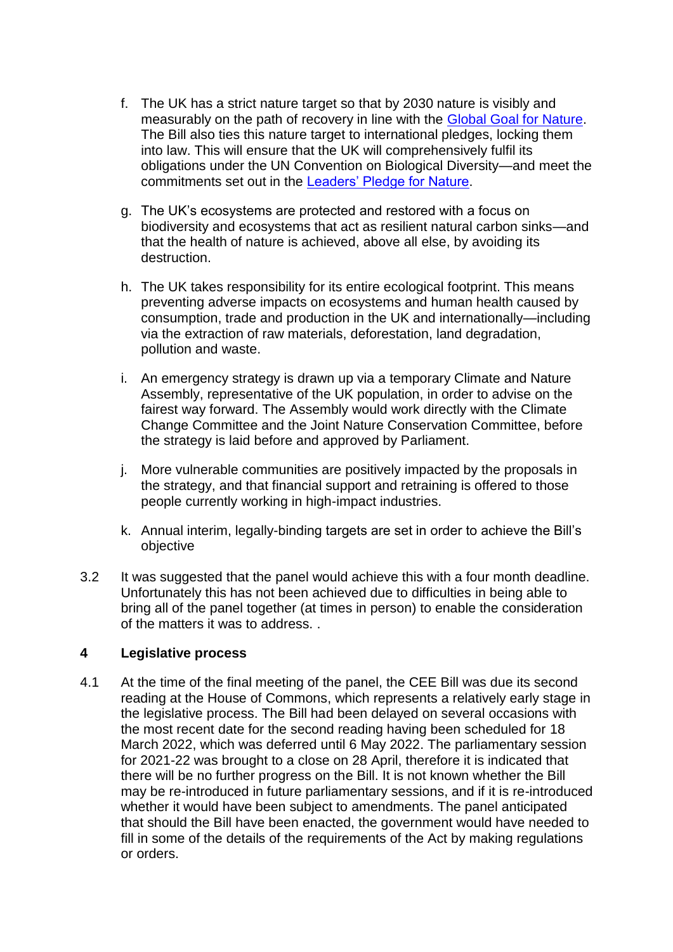- f. The UK has a strict nature target so that by 2030 nature is visibly and measurably on the path of recovery in line with the [Global Goal for Nature.](https://www.naturepositive.org/) The Bill also ties this nature target to international pledges, locking them into law. This will ensure that the UK will comprehensively fulfil its obligations under the UN Convention on Biological Diversity—and meet the commitments set out in the [Leaders' Pledge for Nature.](https://www.leaderspledgefornature.org/)
- g. The UK's ecosystems are protected and restored with a focus on biodiversity and ecosystems that act as resilient natural carbon sinks—and that the health of nature is achieved, above all else, by avoiding its destruction.
- h. The UK takes responsibility for its entire ecological footprint. This means preventing adverse impacts on ecosystems and human health caused by consumption, trade and production in the UK and internationally—including via the extraction of raw materials, deforestation, land degradation, pollution and waste.
- i. An emergency strategy is drawn up via a temporary Climate and Nature Assembly, representative of the UK population, in order to advise on the fairest way forward. The Assembly would work directly with the Climate Change Committee and the Joint Nature Conservation Committee, before the strategy is laid before and approved by Parliament.
- j. More vulnerable communities are positively impacted by the proposals in the strategy, and that financial support and retraining is offered to those people currently working in high-impact industries.
- k. Annual interim, legally-binding targets are set in order to achieve the Bill's objective
- 3.2 It was suggested that the panel would achieve this with a four month deadline. Unfortunately this has not been achieved due to difficulties in being able to bring all of the panel together (at times in person) to enable the consideration of the matters it was to address. .

#### **4 Legislative process**

4.1 At the time of the final meeting of the panel, the CEE Bill was due its second reading at the House of Commons, which represents a relatively early stage in the legislative process. The Bill had been delayed on several occasions with the most recent date for the second reading having been scheduled for 18 March 2022, which was deferred until 6 May 2022. The parliamentary session for 2021-22 was brought to a close on 28 April, therefore it is indicated that there will be no further progress on the Bill. It is not known whether the Bill may be re-introduced in future parliamentary sessions, and if it is re-introduced whether it would have been subject to amendments. The panel anticipated that should the Bill have been enacted, the government would have needed to fill in some of the details of the requirements of the Act by making regulations or orders.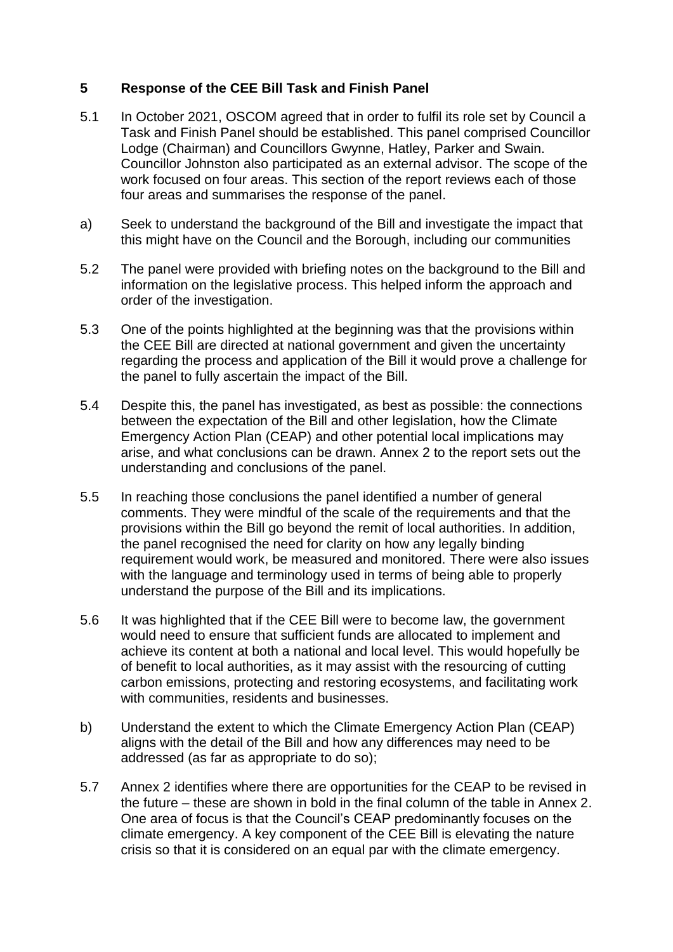#### **5 Response of the CEE Bill Task and Finish Panel**

- 5.1 In October 2021, OSCOM agreed that in order to fulfil its role set by Council a Task and Finish Panel should be established. This panel comprised Councillor Lodge (Chairman) and Councillors Gwynne, Hatley, Parker and Swain. Councillor Johnston also participated as an external advisor. The scope of the work focused on four areas. This section of the report reviews each of those four areas and summarises the response of the panel.
- a) Seek to understand the background of the Bill and investigate the impact that this might have on the Council and the Borough, including our communities
- 5.2 The panel were provided with briefing notes on the background to the Bill and information on the legislative process. This helped inform the approach and order of the investigation.
- 5.3 One of the points highlighted at the beginning was that the provisions within the CEE Bill are directed at national government and given the uncertainty regarding the process and application of the Bill it would prove a challenge for the panel to fully ascertain the impact of the Bill.
- 5.4 Despite this, the panel has investigated, as best as possible: the connections between the expectation of the Bill and other legislation, how the Climate Emergency Action Plan (CEAP) and other potential local implications may arise, and what conclusions can be drawn. Annex 2 to the report sets out the understanding and conclusions of the panel.
- 5.5 In reaching those conclusions the panel identified a number of general comments. They were mindful of the scale of the requirements and that the provisions within the Bill go beyond the remit of local authorities. In addition, the panel recognised the need for clarity on how any legally binding requirement would work, be measured and monitored. There were also issues with the language and terminology used in terms of being able to properly understand the purpose of the Bill and its implications.
- 5.6 It was highlighted that if the CEE Bill were to become law, the government would need to ensure that sufficient funds are allocated to implement and achieve its content at both a national and local level. This would hopefully be of benefit to local authorities, as it may assist with the resourcing of cutting carbon emissions, protecting and restoring ecosystems, and facilitating work with communities, residents and businesses.
- b) Understand the extent to which the Climate Emergency Action Plan (CEAP) aligns with the detail of the Bill and how any differences may need to be addressed (as far as appropriate to do so);
- 5.7 Annex 2 identifies where there are opportunities for the CEAP to be revised in the future – these are shown in bold in the final column of the table in Annex 2. One area of focus is that the Council's CEAP predominantly focuses on the climate emergency. A key component of the CEE Bill is elevating the nature crisis so that it is considered on an equal par with the climate emergency.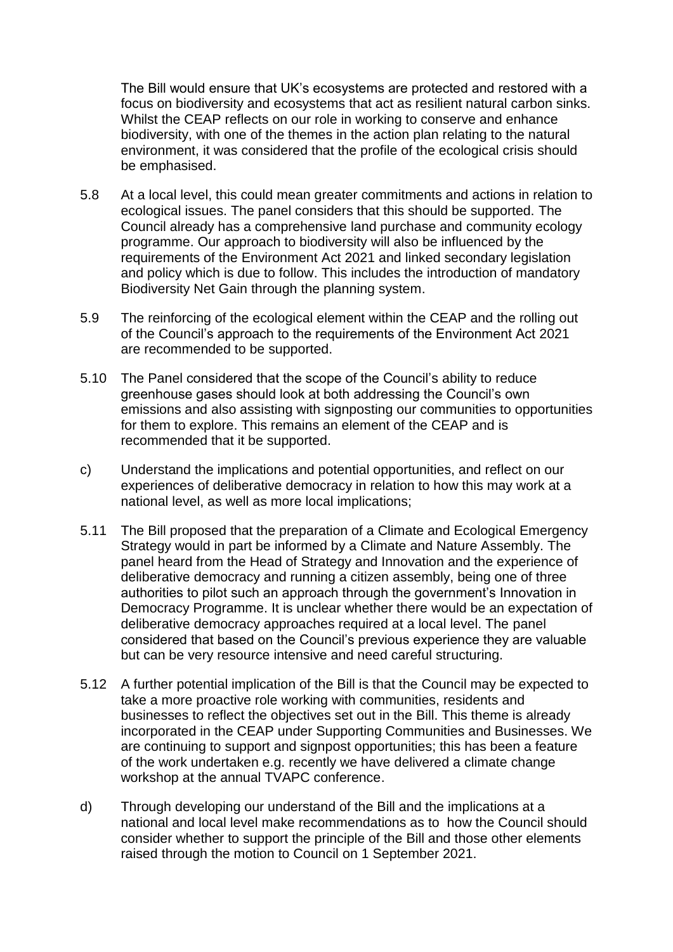The Bill would ensure that UK's ecosystems are protected and restored with a focus on biodiversity and ecosystems that act as resilient natural carbon sinks. Whilst the CEAP reflects on our role in working to conserve and enhance biodiversity, with one of the themes in the action plan relating to the natural environment, it was considered that the profile of the ecological crisis should be emphasised.

- 5.8 At a local level, this could mean greater commitments and actions in relation to ecological issues. The panel considers that this should be supported. The Council already has a comprehensive land purchase and community ecology programme. Our approach to biodiversity will also be influenced by the requirements of the Environment Act 2021 and linked secondary legislation and policy which is due to follow. This includes the introduction of mandatory Biodiversity Net Gain through the planning system.
- 5.9 The reinforcing of the ecological element within the CEAP and the rolling out of the Council's approach to the requirements of the Environment Act 2021 are recommended to be supported.
- 5.10 The Panel considered that the scope of the Council's ability to reduce greenhouse gases should look at both addressing the Council's own emissions and also assisting with signposting our communities to opportunities for them to explore. This remains an element of the CEAP and is recommended that it be supported.
- c) Understand the implications and potential opportunities, and reflect on our experiences of deliberative democracy in relation to how this may work at a national level, as well as more local implications;
- 5.11 The Bill proposed that the preparation of a Climate and Ecological Emergency Strategy would in part be informed by a Climate and Nature Assembly. The panel heard from the Head of Strategy and Innovation and the experience of deliberative democracy and running a citizen assembly, being one of three authorities to pilot such an approach through the government's Innovation in Democracy Programme. It is unclear whether there would be an expectation of deliberative democracy approaches required at a local level. The panel considered that based on the Council's previous experience they are valuable but can be very resource intensive and need careful structuring.
- 5.12 A further potential implication of the Bill is that the Council may be expected to take a more proactive role working with communities, residents and businesses to reflect the objectives set out in the Bill. This theme is already incorporated in the CEAP under Supporting Communities and Businesses. We are continuing to support and signpost opportunities; this has been a feature of the work undertaken e.g. recently we have delivered a climate change workshop at the annual TVAPC conference.
- d) Through developing our understand of the Bill and the implications at a national and local level make recommendations as to how the Council should consider whether to support the principle of the Bill and those other elements raised through the motion to Council on 1 September 2021.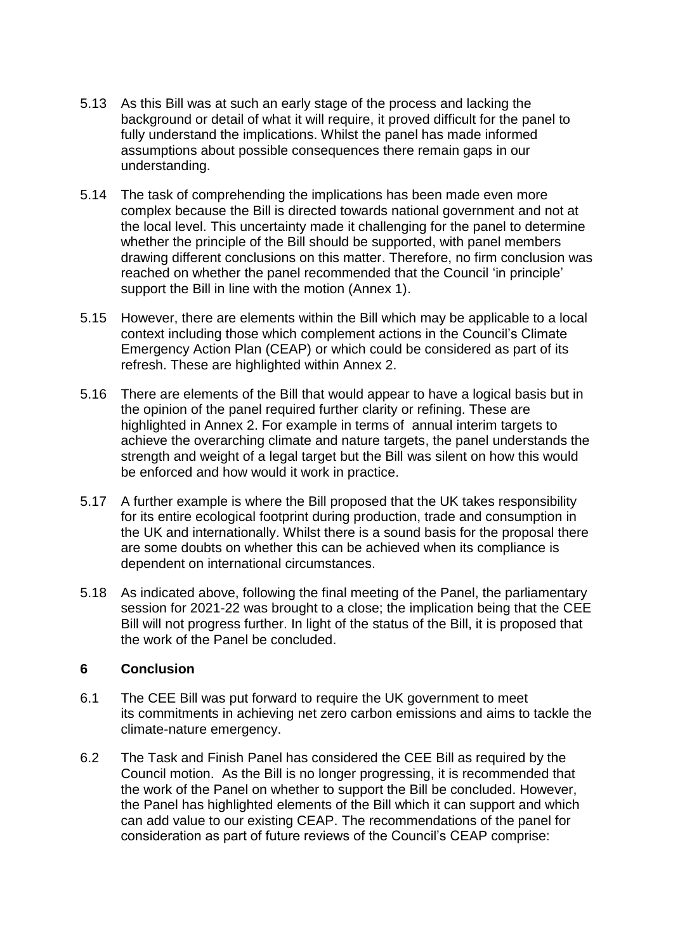- 5.13 As this Bill was at such an early stage of the process and lacking the background or detail of what it will require, it proved difficult for the panel to fully understand the implications. Whilst the panel has made informed assumptions about possible consequences there remain gaps in our understanding.
- 5.14 The task of comprehending the implications has been made even more complex because the Bill is directed towards national government and not at the local level. This uncertainty made it challenging for the panel to determine whether the principle of the Bill should be supported, with panel members drawing different conclusions on this matter. Therefore, no firm conclusion was reached on whether the panel recommended that the Council 'in principle' support the Bill in line with the motion (Annex 1).
- 5.15 However, there are elements within the Bill which may be applicable to a local context including those which complement actions in the Council's Climate Emergency Action Plan (CEAP) or which could be considered as part of its refresh. These are highlighted within Annex 2.
- 5.16 There are elements of the Bill that would appear to have a logical basis but in the opinion of the panel required further clarity or refining. These are highlighted in Annex 2. For example in terms of annual interim targets to achieve the overarching climate and nature targets, the panel understands the strength and weight of a legal target but the Bill was silent on how this would be enforced and how would it work in practice.
- 5.17 A further example is where the Bill proposed that the UK takes responsibility for its entire ecological footprint during production, trade and consumption in the UK and internationally. Whilst there is a sound basis for the proposal there are some doubts on whether this can be achieved when its compliance is dependent on international circumstances.
- 5.18 As indicated above, following the final meeting of the Panel, the parliamentary session for 2021-22 was brought to a close; the implication being that the CEE Bill will not progress further. In light of the status of the Bill, it is proposed that the work of the Panel be concluded.

#### **6 Conclusion**

- 6.1 The CEE Bill was put forward to require the UK government to meet its commitments in achieving net zero carbon emissions and aims to tackle the climate-nature emergency.
- 6.2 The Task and Finish Panel has considered the CEE Bill as required by the Council motion. As the Bill is no longer progressing, it is recommended that the work of the Panel on whether to support the Bill be concluded. However, the Panel has highlighted elements of the Bill which it can support and which can add value to our existing CEAP. The recommendations of the panel for consideration as part of future reviews of the Council's CEAP comprise: